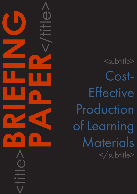<title>**BRIEFING PAPER**<br>CONSTRAINS

<subtitle> Cost-**Effective** Production of Learning Materials </subtitle>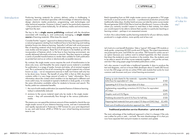### CAPDM Ltd. CAPDM Ltd.

Introduction Producing learning materials for primary delivery online is challenging. It requires a team of individual specialists with knowledge of interactive learning design, electronic media production, programming, web technologies and other technical expertise. However it doesn't need to be particularly expensive - if the production is done holistically, for all delivery media and environments, right from the start.

> The key to this is **single source publishing** combined with the disciplines associated with investing in, and continuously managing, a single master source of learning materials. What does this mean?

> Consider first the "organic" approach to distance learning. This approach follows a natural progression starting from traditional face to face learning and making tentative forays into distance learning. Typically it will start with word processor files of teaching material which have performed sterling service as handouts, case studies and test papers. These first of all require to be beefed up with the incorporation of features which, in the face to face learning environment, are usually delivered informally at lectures or tutorials. They then require to undergo a series of parallel transformations to render them suitable for both publication as printed text and as an online or electronically accessible resource.

> By contrast, the single master source requires the work of transformation to be done only once, and thereafter the same original source material is available for publication in a range of media, formats and styles, all at minimal marginal cost. This is achieved by first of all converting the original material into a format known as [XML](http://www.w3.org/XML/) – not an inexpensive exercise in itself, but if done well only has to be done once, forever. The benefit of using XML is that an XML document contains within it a very large amount of extra or "meta" information. This is information about the content which enables it to be deployed in different and more useful ways, for example to typeset a textbook or study guide, or to make the same information available online for students to browse and search. This facility yields two substantial benefits:

- 1. the cost of multi-media publication (an essential feature of distance learning today) is substantially reduced;
- 2. revisions to the source material need only be made in the single master source – they will automatically flow through to the various publication media.

This means you can spend the minimum amount of time needed to cherish the one single master source of your distance learning course, and see it automatically and rapidly reproduced in Postscript or PDF formats for your print department to use, and web format, ePUB or HTML for your virtual learning environment team to use.

Why is this of value to me?

Batch typesetting from an XML single master source can generate a 750 page text book or journal article in seconds – a professional production process that traditionally takes days. Another batch process can take the same course master file and generate 3500 HTML files to load into Blackboard, Canvas or Moodle, where you certainly wouldn't expect to read them in their entirety, but where you would expect to be able to retrieve them quickly in a particular teaching or learning context – perhaps in an assessment answer.

In short, this is about better quality learning materials for all your delivery media produced in a single solution, more quickly and at less cost.

Let's look at a cost-benefit illustration. Take a 'typical' 200 page CPD module or study guide, comprising 68,000 words and 25 figures. The output requirements are postscript for print, and HTML for use online. PDF format for online use isn't an option because your authors want to embed hyperlinks into their answers that direct the students to exact locations in the module. Also, the students want to be able to search all of the course materials together – not just the unit text, and don't like using paper page formatted publications online.

Let's also assume it would take a traditional typesetter 6 days to produce the text and diagrams, and an in-house Web developer about 2 weeks (80 hours) to turn the 200 page unit into an online HTML web module that works for most common web browsers and your virtual learning environment.

# Cost-benefit illustration

| Setting up style sheets for the materials - typesetter/designer $@$ |        |
|---------------------------------------------------------------------|--------|
| £20/hour for equivalent of 1 day                                    | £160   |
| Typesetting @ £15 hour for equivalent of 6 days                     | £720   |
| Implementing copyediting corrections $@E15/h$ our for equivalent    |        |
| of 2 days                                                           | £240   |
| Graphic work at £15/figure                                          | £375   |
| Finalising document for print £15/hour for half day                 | £120   |
| Preparing html materials from print output (10 days at £240/day)    | £2,400 |
| Total cost of traditional production approach (ex. VAT):            | £4,015 |

#### Traditional production service illustration – print and web

The main advantage of the traditional approach is that it is cheaper if the only use is either for print or web – not both. The main disadvantage of it is that you now have separate html and print masters to maintain and update